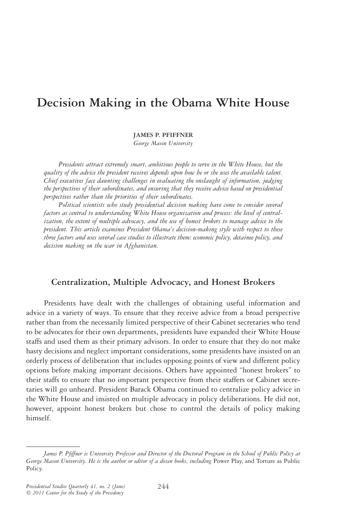# **Decision Making in the Obama White House**

**JAMES P. PFIFFNER**

*George Mason University*

*Presidents attract extremely smart, ambitious people to serve in the White House, but the quality of the advice the president receives depends upon how he or she uses the available talent. Chief executives face daunting challenges in evaluating the onslaught of information, judging the perspectives of their subordinates, and ensuring that they receive advice based on presidential perspectives rather than the priorities of their subordinates.*

*Political scientists who study presidential decision making have come to consider several factors as central to understanding White House organization and process: the level of centralization, the extent of multiple advocacy, and the use of honest brokers to manage advice to the president. This article examines President Obama's decision-making style with respect to these three factors and uses several case studies to illustrate them: economic policy, detainee policy, and decision making on the war in Afghanistan.*

## **Centralization, Multiple Advocacy, and Honest Brokers**

Presidents have dealt with the challenges of obtaining useful information and advice in a variety of ways. To ensure that they receive advice from a broad perspective rather than from the necessarily limited perspective of their Cabinet secretaries who tend to be advocates for their own departments, presidents have expanded their White House staffs and used them as their primary advisors. In order to ensure that they do not make hasty decisions and neglect important considerations, some presidents have insisted on an orderly process of deliberation that includes opposing points of view and different policy options before making important decisions. Others have appointed "honest brokers" to their staffs to ensure that no important perspective from their staffers or Cabinet secretaries will go unheard. President Barack Obama continued to centralize policy advice in the White House and insisted on multiple advocacy in policy deliberations. He did not, however, appoint honest brokers but chose to control the details of policy making himself.

*James P. Pfiffner is University Professor and Director of the Doctoral Program in the School of Public Policy at George Mason University. He is the author or editor of a dozen books, including* Power Play, and Torture as Public Policy.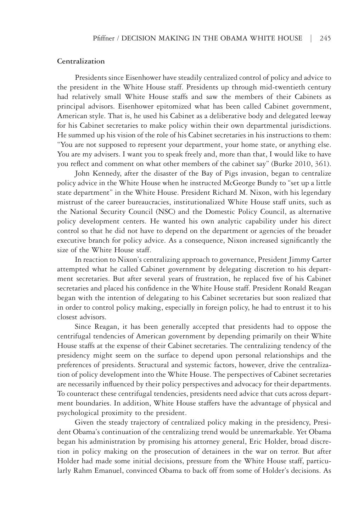## **Centralization**

Presidents since Eisenhower have steadily centralized control of policy and advice to the president in the White House staff. Presidents up through mid-twentieth century had relatively small White House staffs and saw the members of their Cabinets as principal advisors. Eisenhower epitomized what has been called Cabinet government, American style. That is, he used his Cabinet as a deliberative body and delegated leeway for his Cabinet secretaries to make policy within their own departmental jurisdictions. He summed up his vision of the role of his Cabinet secretaries in his instructions to them: "You are not supposed to represent your department, your home state, or anything else. You are my advisers. I want you to speak freely and, more than that, I would like to have you reflect and comment on what other members of the cabinet say" (Burke 2010, 361).

John Kennedy, after the disaster of the Bay of Pigs invasion, began to centralize policy advice in the White House when he instructed McGeorge Bundy to "set up a little state department" in the White House. President Richard M. Nixon, with his legendary mistrust of the career bureaucracies, institutionalized White House staff units, such as the National Security Council (NSC) and the Domestic Policy Council, as alternative policy development centers. He wanted his own analytic capability under his direct control so that he did not have to depend on the department or agencies of the broader executive branch for policy advice. As a consequence, Nixon increased significantly the size of the White House staff.

In reaction to Nixon's centralizing approach to governance, President Jimmy Carter attempted what he called Cabinet government by delegating discretion to his department secretaries. But after several years of frustration, he replaced five of his Cabinet secretaries and placed his confidence in the White House staff. President Ronald Reagan began with the intention of delegating to his Cabinet secretaries but soon realized that in order to control policy making, especially in foreign policy, he had to entrust it to his closest advisors.

Since Reagan, it has been generally accepted that presidents had to oppose the centrifugal tendencies of American government by depending primarily on their White House staffs at the expense of their Cabinet secretaries. The centralizing tendency of the presidency might seem on the surface to depend upon personal relationships and the preferences of presidents. Structural and systemic factors, however, drive the centralization of policy development into the White House. The perspectives of Cabinet secretaries are necessarily influenced by their policy perspectives and advocacy for their departments. To counteract these centrifugal tendencies, presidents need advice that cuts across department boundaries. In addition, White House staffers have the advantage of physical and psychological proximity to the president.

Given the steady trajectory of centralized policy making in the presidency, President Obama's continuation of the centralizing trend would be unremarkable. Yet Obama began his administration by promising his attorney general, Eric Holder, broad discretion in policy making on the prosecution of detainees in the war on terror. But after Holder had made some initial decisions, pressure from the White House staff, particularly Rahm Emanuel, convinced Obama to back off from some of Holder's decisions. As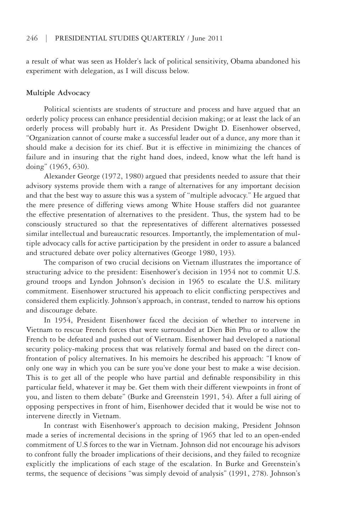a result of what was seen as Holder's lack of political sensitivity, Obama abandoned his experiment with delegation, as I will discuss below.

#### **Multiple Advocacy**

Political scientists are students of structure and process and have argued that an orderly policy process can enhance presidential decision making; or at least the lack of an orderly process will probably hurt it. As President Dwight D. Eisenhower observed, "Organization cannot of course make a successful leader out of a dunce, any more than it should make a decision for its chief. But it is effective in minimizing the chances of failure and in insuring that the right hand does, indeed, know what the left hand is doing" (1965, 630).

Alexander George (1972, 1980) argued that presidents needed to assure that their advisory systems provide them with a range of alternatives for any important decision and that the best way to assure this was a system of "multiple advocacy." He argued that the mere presence of differing views among White House staffers did not guarantee the effective presentation of alternatives to the president. Thus, the system had to be consciously structured so that the representatives of different alternatives possessed similar intellectual and bureaucratic resources. Importantly, the implementation of multiple advocacy calls for active participation by the president in order to assure a balanced and structured debate over policy alternatives (George 1980, 193).

The comparison of two crucial decisions on Vietnam illustrates the importance of structuring advice to the president: Eisenhower's decision in 1954 not to commit U.S. ground troops and Lyndon Johnson's decision in 1965 to escalate the U.S. military commitment. Eisenhower structured his approach to elicit conflicting perspectives and considered them explicitly. Johnson's approach, in contrast, tended to narrow his options and discourage debate.

In 1954, President Eisenhower faced the decision of whether to intervene in Vietnam to rescue French forces that were surrounded at Dien Bin Phu or to allow the French to be defeated and pushed out of Vietnam. Eisenhower had developed a national security policy-making process that was relatively formal and based on the direct confrontation of policy alternatives. In his memoirs he described his approach: "I know of only one way in which you can be sure you've done your best to make a wise decision. This is to get all of the people who have partial and definable responsibility in this particular field, whatever it may be. Get them with their different viewpoints in front of you, and listen to them debate" (Burke and Greenstein 1991, 54). After a full airing of opposing perspectives in front of him, Eisenhower decided that it would be wise not to intervene directly in Vietnam.

In contrast with Eisenhower's approach to decision making, President Johnson made a series of incremental decisions in the spring of 1965 that led to an open-ended commitment of U.S forces to the war in Vietnam. Johnson did not encourage his advisors to confront fully the broader implications of their decisions, and they failed to recognize explicitly the implications of each stage of the escalation. In Burke and Greenstein's terms, the sequence of decisions "was simply devoid of analysis" (1991, 278). Johnson's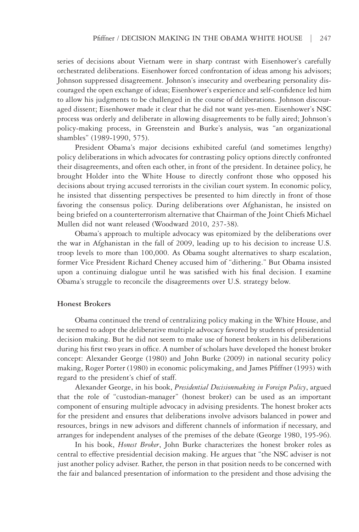series of decisions about Vietnam were in sharp contrast with Eisenhower's carefully orchestrated deliberations. Eisenhower forced confrontation of ideas among his advisors; Johnson suppressed disagreement. Johnson's insecurity and overbearing personality discouraged the open exchange of ideas; Eisenhower's experience and self-confidence led him to allow his judgments to be challenged in the course of deliberations. Johnson discouraged dissent; Eisenhower made it clear that he did not want yes-men. Eisenhower's NSC process was orderly and deliberate in allowing disagreements to be fully aired; Johnson's policy-making process, in Greenstein and Burke's analysis, was "an organizational shambles" (1989-1990, 575).

President Obama's major decisions exhibited careful (and sometimes lengthy) policy deliberations in which advocates for contrasting policy options directly confronted their disagreements, and often each other, in front of the president. In detainee policy, he brought Holder into the White House to directly confront those who opposed his decisions about trying accused terrorists in the civilian court system. In economic policy, he insisted that dissenting perspectives be presented to him directly in front of those favoring the consensus policy. During deliberations over Afghanistan, he insisted on being briefed on a counterterrorism alternative that Chairman of the Joint Chiefs Michael Mullen did not want released (Woodward 2010, 237-38).

Obama's approach to multiple advocacy was epitomized by the deliberations over the war in Afghanistan in the fall of 2009, leading up to his decision to increase U.S. troop levels to more than 100,000. As Obama sought alternatives to sharp escalation, former Vice President Richard Cheney accused him of "dithering." But Obama insisted upon a continuing dialogue until he was satisfied with his final decision. I examine Obama's struggle to reconcile the disagreements over U.S. strategy below.

#### **Honest Brokers**

Obama continued the trend of centralizing policy making in the White House, and he seemed to adopt the deliberative multiple advocacy favored by students of presidential decision making. But he did not seem to make use of honest brokers in his deliberations during his first two years in office. A number of scholars have developed the honest broker concept: Alexander George (1980) and John Burke (2009) in national security policy making, Roger Porter (1980) in economic policymaking, and James Pfiffner (1993) with regard to the president's chief of staff.

Alexander George, in his book, *Presidential Decisionmaking in Foreign Policy*, argued that the role of "custodian-manager" (honest broker) can be used as an important component of ensuring multiple advocacy in advising presidents. The honest broker acts for the president and ensures that deliberations involve advisors balanced in power and resources, brings in new advisors and different channels of information if necessary, and arranges for independent analyses of the premises of the debate (George 1980, 195-96).

In his book, *Honest Broker*, John Burke characterizes the honest broker roles as central to effective presidential decision making. He argues that "the NSC adviser is not just another policy adviser. Rather, the person in that position needs to be concerned with the fair and balanced presentation of information to the president and those advising the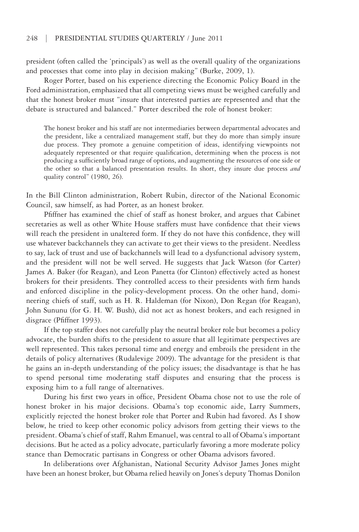president (often called the 'principals') as well as the overall quality of the organizations and processes that come into play in decision making" (Burke, 2009, 1).

Roger Porter, based on his experience directing the Economic Policy Board in the Ford administration, emphasized that all competing views must be weighed carefully and that the honest broker must "insure that interested parties are represented and that the debate is structured and balanced." Porter described the role of honest broker:

The honest broker and his staff are not intermediaries between departmental advocates and the president, like a centralized management staff, but they do more than simply insure due process. They promote a genuine competition of ideas, identifying viewpoints not adequately represented or that require qualification, determining when the process is not producing a sufficiently broad range of options, and augmenting the resources of one side or the other so that a balanced presentation results. In short, they insure due process *and* quality control" (1980, 26).

In the Bill Clinton administration, Robert Rubin, director of the National Economic Council, saw himself, as had Porter, as an honest broker.

Pfiffner has examined the chief of staff as honest broker, and argues that Cabinet secretaries as well as other White House staffers must have confidence that their views will reach the president in unaltered form. If they do not have this confidence, they will use whatever backchannels they can activate to get their views to the president. Needless to say, lack of trust and use of backchannels will lead to a dysfunctional advisory system, and the president will not be well served. He suggests that Jack Watson (for Carter) James A. Baker (for Reagan), and Leon Panetta (for Clinton) effectively acted as honest brokers for their presidents. They controlled access to their presidents with firm hands and enforced discipline in the policy-development process. On the other hand, domineering chiefs of staff, such as H. R. Haldeman (for Nixon), Don Regan (for Reagan), John Sununu (for G. H. W. Bush), did not act as honest brokers, and each resigned in disgrace (Pfiffner 1993).

If the top staffer does not carefully play the neutral broker role but becomes a policy advocate, the burden shifts to the president to assure that all legitimate perspectives are well represented. This takes personal time and energy and embroils the president in the details of policy alternatives (Rudalevige 2009). The advantage for the president is that he gains an in-depth understanding of the policy issues; the disadvantage is that he has to spend personal time moderating staff disputes and ensuring that the process is exposing him to a full range of alternatives.

During his first two years in office, President Obama chose not to use the role of honest broker in his major decisions. Obama's top economic aide, Larry Summers, explicitly rejected the honest broker role that Porter and Rubin had favored. As I show below, he tried to keep other economic policy advisors from getting their views to the president. Obama's chief of staff, Rahm Emanuel, was central to all of Obama's important decisions. But he acted as a policy advocate, particularly favoring a more moderate policy stance than Democratic partisans in Congress or other Obama advisors favored.

In deliberations over Afghanistan, National Security Advisor James Jones might have been an honest broker, but Obama relied heavily on Jones's deputy Thomas Donilon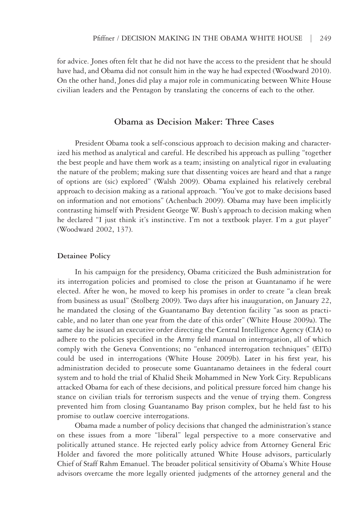for advice. Jones often felt that he did not have the access to the president that he should have had, and Obama did not consult him in the way he had expected (Woodward 2010). On the other hand, Jones did play a major role in communicating between White House civilian leaders and the Pentagon by translating the concerns of each to the other.

## **Obama as Decision Maker: Three Cases**

President Obama took a self-conscious approach to decision making and characterized his method as analytical and careful. He described his approach as pulling "together the best people and have them work as a team; insisting on analytical rigor in evaluating the nature of the problem; making sure that dissenting voices are heard and that a range of options are (sic) explored" (Walsh 2009). Obama explained his relatively cerebral approach to decision making as a rational approach. "You've got to make decisions based on information and not emotions" (Achenbach 2009). Obama may have been implicitly contrasting himself with President George W. Bush's approach to decision making when he declared "I just think it's instinctive. I'm not a textbook player. I'm a gut player" (Woodward 2002, 137).

#### **Detainee Policy**

In his campaign for the presidency, Obama criticized the Bush administration for its interrogation policies and promised to close the prison at Guantanamo if he were elected. After he won, he moved to keep his promises in order to create "a clean break from business as usual" (Stolberg 2009). Two days after his inauguration, on January 22, he mandated the closing of the Guantanamo Bay detention facility "as soon as practicable, and no later than one year from the date of this order" (White House 2009a). The same day he issued an executive order directing the Central Intelligence Agency (CIA) to adhere to the policies specified in the Army field manual on interrogation, all of which comply with the Geneva Conventions; no "enhanced interrogation techniques" (EITs) could be used in interrogations (White House 2009b). Later in his first year, his administration decided to prosecute some Guantanamo detainees in the federal court system and to hold the trial of Khalid Sheik Mohammed in New York City. Republicans attacked Obama for each of these decisions, and political pressure forced him change his stance on civilian trials for terrorism suspects and the venue of trying them. Congress prevented him from closing Guantanamo Bay prison complex, but he held fast to his promise to outlaw coercive interrogations.

Obama made a number of policy decisions that changed the administration's stance on these issues from a more "liberal" legal perspective to a more conservative and politically attuned stance. He rejected early policy advice from Attorney General Eric Holder and favored the more politically attuned White House advisors, particularly Chief of Staff Rahm Emanuel. The broader political sensitivity of Obama's White House advisors overcame the more legally oriented judgments of the attorney general and the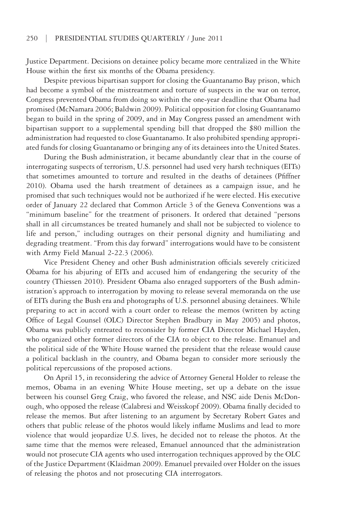Justice Department. Decisions on detainee policy became more centralized in the White House within the first six months of the Obama presidency.

Despite previous bipartisan support for closing the Guantanamo Bay prison, which had become a symbol of the mistreatment and torture of suspects in the war on terror, Congress prevented Obama from doing so within the one-year deadline that Obama had promised (McNamara 2006; Baldwin 2009). Political opposition for closing Guantanamo began to build in the spring of 2009, and in May Congress passed an amendment with bipartisan support to a supplemental spending bill that dropped the \$80 million the administration had requested to close Guantanamo. It also prohibited spending appropriated funds for closing Guantanamo or bringing any of its detainees into the United States.

During the Bush administration, it became abundantly clear that in the course of interrogating suspects of terrorism, U.S. personnel had used very harsh techniques (EITs) that sometimes amounted to torture and resulted in the deaths of detainees (Pfiffner 2010). Obama used the harsh treatment of detainees as a campaign issue, and he promised that such techniques would not be authorized if he were elected. His executive order of January 22 declared that Common Article 3 of the Geneva Conventions was a "minimum baseline" for the treatment of prisoners. It ordered that detained "persons shall in all circumstances be treated humanely and shall not be subjected to violence to life and person," including outrages on their personal dignity and humiliating and degrading treatment. "From this day forward" interrogations would have to be consistent with Army Field Manual 2-22.3 (2006).

Vice President Cheney and other Bush administration officials severely criticized Obama for his abjuring of EITs and accused him of endangering the security of the country (Thiessen 2010). President Obama also enraged supporters of the Bush administration's approach to interrogation by moving to release several memoranda on the use of EITs during the Bush era and photographs of U.S. personnel abusing detainees. While preparing to act in accord with a court order to release the memos (written by acting Office of Legal Counsel (OLC) Director Stephen Bradbury in May 2005) and photos, Obama was publicly entreated to reconsider by former CIA Director Michael Hayden, who organized other former directors of the CIA to object to the release. Emanuel and the political side of the White House warned the president that the release would cause a political backlash in the country, and Obama began to consider more seriously the political repercussions of the proposed actions.

On April 15, in reconsidering the advice of Attorney General Holder to release the memos, Obama in an evening White House meeting, set up a debate on the issue between his counsel Greg Craig, who favored the release, and NSC aide Denis McDonough, who opposed the release (Calabresi and Weisskopf 2009). Obama finally decided to release the memos. But after listening to an argument by Secretary Robert Gates and others that public release of the photos would likely inflame Muslims and lead to more violence that would jeopardize U.S. lives, he decided not to release the photos. At the same time that the memos were released, Emanuel announced that the administration would not prosecute CIA agents who used interrogation techniques approved by the OLC of the Justice Department (Klaidman 2009). Emanuel prevailed over Holder on the issues of releasing the photos and not prosecuting CIA interrogators.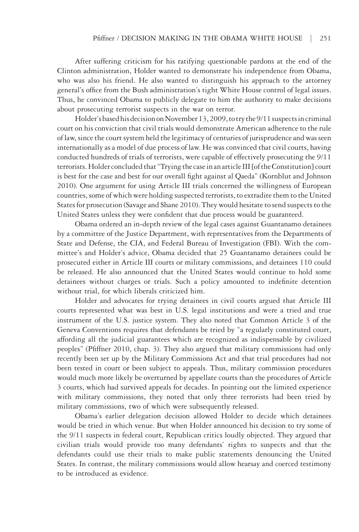After suffering criticism for his ratifying questionable pardons at the end of the Clinton administration, Holder wanted to demonstrate his independence from Obama, who was also his friend. He also wanted to distinguish his approach to the attorney general's office from the Bush administration's tight White House control of legal issues. Thus, he convinced Obama to publicly delegate to him the authority to make decisions about prosecuting terrorist suspects in the war on terror.

Holder's based his decision on November 13, 2009, to try the 9/11 suspects in criminal court on his conviction that civil trials would demonstrate American adherence to the rule of law, since the court system held the legitimacy of centuries of jurisprudence and was seen internationally as a model of due process of law. He was convinced that civil courts, having conducted hundreds of trials of terrorists, were capable of effectively prosecuting the 9/11 terrorists. Holder concluded that "Trying the case in an article III [of the Constitution] court is best for the case and best for our overall fight against al Qaeda" (Kornblut and Johnson 2010). One argument for using Article III trials concerned the willingness of European countries, some of which were holding suspected terrorists, to extradite them to the United States for prosecution (Savage and Shane 2010). They would hesitate to send suspects to the United States unless they were confident that due process would be guaranteed.

Obama ordered an in-depth review of the legal cases against Guantanamo detainees by a committee of the Justice Department, with representatives from the Departments of State and Defense, the CIA, and Federal Bureau of Investigation (FBI). With the committee's and Holder's advice, Obama decided that 25 Guantanamo detainees could be prosecuted either in Article III courts or military commissions, and detainees 110 could be released. He also announced that the United States would continue to hold some detainees without charges or trials. Such a policy amounted to indefinite detention without trial, for which liberals criticized him.

Holder and advocates for trying detainees in civil courts argued that Article III courts represented what was best in U.S. legal institutions and were a tried and true instrument of the U.S. justice system. They also noted that Common Article 3 of the Geneva Conventions requires that defendants be tried by "a regularly constituted court, affording all the judicial guarantees which are recognized as indispensable by civilized peoples" (Pfiffner 2010, chap. 3). They also argued that military commissions had only recently been set up by the Military Commissions Act and that trial procedures had not been tested in court or been subject to appeals. Thus, military commission procedures would much more likely be overturned by appellate courts than the procedures of Article 3 courts, which had survived appeals for decades. In pointing out the limited experience with military commissions, they noted that only three terrorists had been tried by military commissions, two of which were subsequently released.

Obama's earlier delegation decision allowed Holder to decide which detainees would be tried in which venue. But when Holder announced his decision to try some of the 9/11 suspects in federal court, Republican critics loudly objected. They argued that civilian trials would provide too many defendants' rights to suspects and that the defendants could use their trials to make public statements denouncing the United States. In contrast, the military commissions would allow hearsay and coerced testimony to be introduced as evidence.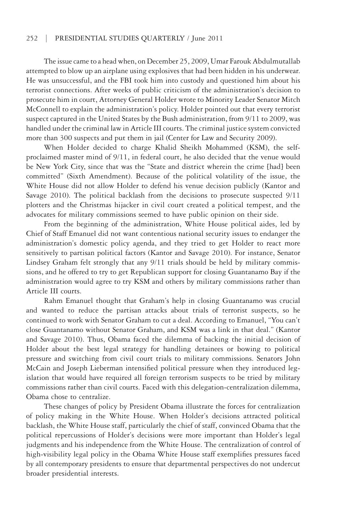#### 252 | PRESIDENTIAL STUDIES QUARTERLY / June 2011

The issue came to a head when, on December 25, 2009, Umar Farouk Abdulmutallab attempted to blow up an airplane using explosives that had been hidden in his underwear. He was unsuccessful, and the FBI took him into custody and questioned him about his terrorist connections. After weeks of public criticism of the administration's decision to prosecute him in court, Attorney General Holder wrote to Minority Leader Senator Mitch McConnell to explain the administration's policy. Holder pointed out that every terrorist suspect captured in the United States by the Bush administration, from 9/11 to 2009, was handled under the criminal law in Article III courts. The criminal justice system convicted more than 300 suspects and put them in jail (Center for Law and Security 2009).

When Holder decided to charge Khalid Sheikh Mohammed (KSM), the selfproclaimed master mind of 9/11, in federal court, he also decided that the venue would be New York City, since that was the "State and district wherein the crime [had] been committed" (Sixth Amendment). Because of the political volatility of the issue, the White House did not allow Holder to defend his venue decision publicly (Kantor and Savage 2010). The political backlash from the decisions to prosecute suspected 9/11 plotters and the Christmas hijacker in civil court created a political tempest, and the advocates for military commissions seemed to have public opinion on their side.

From the beginning of the administration, White House political aides, led by Chief of Staff Emanuel did not want contentious national security issues to endanger the administration's domestic policy agenda, and they tried to get Holder to react more sensitively to partisan political factors (Kantor and Savage 2010). For instance, Senator Lindsey Graham felt strongly that any 9/11 trials should be held by military commissions, and he offered to try to get Republican support for closing Guantanamo Bay if the administration would agree to try KSM and others by military commissions rather than Article III courts.

Rahm Emanuel thought that Graham's help in closing Guantanamo was crucial and wanted to reduce the partisan attacks about trials of terrorist suspects, so he continued to work with Senator Graham to cut a deal. According to Emanuel, "You can't close Guantanamo without Senator Graham, and KSM was a link in that deal." (Kantor and Savage 2010). Thus, Obama faced the dilemma of backing the initial decision of Holder about the best legal strategy for handling detainees or bowing to political pressure and switching from civil court trials to military commissions. Senators John McCain and Joseph Lieberman intensified political pressure when they introduced legislation that would have required all foreign terrorism suspects to be tried by military commissions rather than civil courts. Faced with this delegation-centralization dilemma, Obama chose to centralize.

These changes of policy by President Obama illustrate the forces for centralization of policy making in the White House. When Holder's decisions attracted political backlash, the White House staff, particularly the chief of staff, convinced Obama that the political repercussions of Holder's decisions were more important than Holder's legal judgments and his independence from the White House. The centralization of control of high-visibility legal policy in the Obama White House staff exemplifies pressures faced by all contemporary presidents to ensure that departmental perspectives do not undercut broader presidential interests.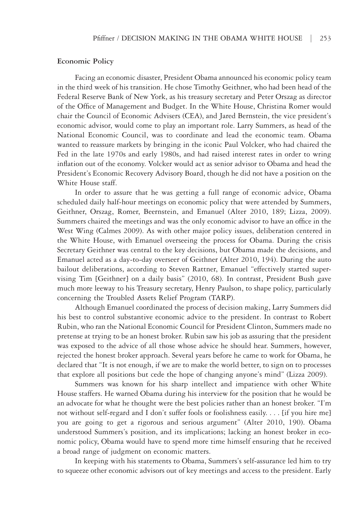#### **Economic Policy**

Facing an economic disaster, President Obama announced his economic policy team in the third week of his transition. He chose Timothy Geithner, who had been head of the Federal Reserve Bank of New York, as his treasury secretary and Peter Orszag as director of the Office of Management and Budget. In the White House, Christina Romer would chair the Council of Economic Advisers (CEA), and Jared Bernstein, the vice president's economic advisor, would come to play an important role. Larry Summers, as head of the National Economic Council, was to coordinate and lead the economic team. Obama wanted to reassure markets by bringing in the iconic Paul Volcker, who had chaired the Fed in the late 1970s and early 1980s, and had raised interest rates in order to wring inflation out of the economy. Volcker would act as senior advisor to Obama and head the President's Economic Recovery Advisory Board, though he did not have a position on the White House staff.

In order to assure that he was getting a full range of economic advice, Obama scheduled daily half-hour meetings on economic policy that were attended by Summers, Geithner, Orszag, Romer, Beernstein, and Emanuel (Alter 2010, 189; Lizza, 2009). Summers chaired the meetings and was the only economic advisor to have an office in the West Wing (Calmes 2009). As with other major policy issues, deliberation centered in the White House, with Emanuel overseeing the process for Obama. During the crisis Secretary Geithner was central to the key decisions, but Obama made the decisions, and Emanuel acted as a day-to-day overseer of Geithner (Alter 2010, 194). During the auto bailout deliberations, according to Steven Rattner, Emanuel "effectively started supervising Tim [Geithner] on a daily basis" (2010, 68). In contrast, President Bush gave much more leeway to his Treasury secretary, Henry Paulson, to shape policy, particularly concerning the Troubled Assets Relief Program (TARP).

Although Emanuel coordinated the process of decision making, Larry Summers did his best to control substantive economic advice to the president. In contrast to Robert Rubin, who ran the National Economic Council for President Clinton, Summers made no pretense at trying to be an honest broker. Rubin saw his job as assuring that the president was exposed to the advice of all those whose advice he should hear. Summers, however, rejected the honest broker approach. Several years before he came to work for Obama, he declared that "It is not enough, if we are to make the world better, to sign on to processes that explore all positions but cede the hope of changing anyone's mind" (Lizza 2009).

Summers was known for his sharp intellect and impatience with other White House staffers. He warned Obama during his interview for the position that he would be an advocate for what he thought were the best policies rather than an honest broker. "I'm not without self-regard and I don't suffer fools or foolishness easily. . . . [if you hire me] you are going to get a rigorous and serious argument" (Alter 2010, 190). Obama understood Summers's position, and its implications; lacking an honest broker in economic policy, Obama would have to spend more time himself ensuring that he received a broad range of judgment on economic matters.

In keeping with his statements to Obama, Summers's self-assurance led him to try to squeeze other economic advisors out of key meetings and access to the president. Early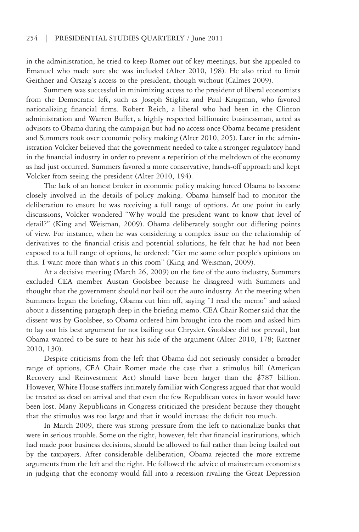in the administration, he tried to keep Romer out of key meetings, but she appealed to Emanuel who made sure she was included (Alter 2010, 198). He also tried to limit Geithner and Orszag's access to the president, though without (Calmes 2009).

Summers was successful in minimizing access to the president of liberal economists from the Democratic left, such as Joseph Stiglitz and Paul Krugman, who favored nationalizing financial firms. Robert Reich, a liberal who had been in the Clinton administration and Warren Buffet, a highly respected billionaire businessman, acted as advisors to Obama during the campaign but had no access once Obama became president and Summers took over economic policy making (Alter 2010, 205). Later in the administration Volcker believed that the government needed to take a stronger regulatory hand in the financial industry in order to prevent a repetition of the meltdown of the economy as had just occurred. Summers favored a more conservative, hands-off approach and kept Volcker from seeing the president (Alter 2010, 194).

The lack of an honest broker in economic policy making forced Obama to become closely involved in the details of policy making. Obama himself had to monitor the deliberation to ensure he was receiving a full range of options. At one point in early discussions, Volcker wondered "Why would the president want to know that level of detail?" (King and Weisman, 2009). Obama deliberately sought out differing points of view. For instance, when he was considering a complex issue on the relationship of derivatives to the financial crisis and potential solutions, he felt that he had not been exposed to a full range of options, he ordered: "Get me some other people's opinions on this. I want more than what's in this room" (King and Weisman, 2009).

At a decisive meeting (March 26, 2009) on the fate of the auto industry, Summers excluded CEA member Austan Goolsbee because he disagreed with Summers and thought that the government should not bail out the auto industry. At the meeting when Summers began the briefing, Obama cut him off, saying "I read the memo" and asked about a dissenting paragraph deep in the briefing memo. CEA Chair Romer said that the dissent was by Goolsbee, so Obama ordered him brought into the room and asked him to lay out his best argument for not bailing out Chrysler. Goolsbee did not prevail, but Obama wanted to be sure to hear his side of the argument (Alter 2010, 178; Rattner 2010, 130).

Despite criticisms from the left that Obama did not seriously consider a broader range of options, CEA Chair Romer made the case that a stimulus bill (American Recovery and Reinvestment Act) should have been larger than the \$787 billion. However, White House staffers intimately familiar with Congress argued that that would be treated as dead on arrival and that even the few Republican votes in favor would have been lost. Many Republicans in Congress criticized the president because they thought that the stimulus was too large and that it would increase the deficit too much.

In March 2009, there was strong pressure from the left to nationalize banks that were in serious trouble. Some on the right, however, felt that financial institutions, which had made poor business decisions, should be allowed to fail rather than being bailed out by the taxpayers. After considerable deliberation, Obama rejected the more extreme arguments from the left and the right. He followed the advice of mainstream economists in judging that the economy would fall into a recession rivaling the Great Depression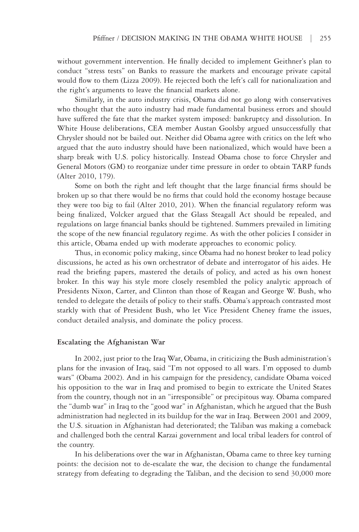without government intervention. He finally decided to implement Geithner's plan to conduct "stress tests" on Banks to reassure the markets and encourage private capital would flow to them (Lizza 2009). He rejected both the left's call for nationalization and the right's arguments to leave the financial markets alone.

Similarly, in the auto industry crisis, Obama did not go along with conservatives who thought that the auto industry had made fundamental business errors and should have suffered the fate that the market system imposed: bankruptcy and dissolution. In White House deliberations, CEA member Austan Goolsby argued unsuccessfully that Chrysler should not be bailed out. Neither did Obama agree with critics on the left who argued that the auto industry should have been nationalized, which would have been a sharp break with U.S. policy historically. Instead Obama chose to force Chrysler and General Motors (GM) to reorganize under time pressure in order to obtain TARP funds (Alter 2010, 179).

Some on both the right and left thought that the large financial firms should be broken up so that there would be no firms that could hold the economy hostage because they were too big to fail (Alter 2010, 201). When the financial regulatory reform was being finalized, Volcker argued that the Glass Steagall Act should be repealed, and regulations on large financial banks should be tightened. Summers prevailed in limiting the scope of the new financial regulatory regime. As with the other policies I consider in this article, Obama ended up with moderate approaches to economic policy.

Thus, in economic policy making, since Obama had no honest broker to lead policy discussions, he acted as his own orchestrator of debate and interrogator of his aides. He read the briefing papers, mastered the details of policy, and acted as his own honest broker. In this way his style more closely resembled the policy analytic approach of Presidents Nixon, Carter, and Clinton than those of Reagan and George W. Bush, who tended to delegate the details of policy to their staffs. Obama's approach contrasted most starkly with that of President Bush, who let Vice President Cheney frame the issues, conduct detailed analysis, and dominate the policy process.

#### **Escalating the Afghanistan War**

In 2002, just prior to the Iraq War, Obama, in criticizing the Bush administration's plans for the invasion of Iraq, said "I'm not opposed to all wars. I'm opposed to dumb wars" (Obama 2002). And in his campaign for the presidency, candidate Obama voiced his opposition to the war in Iraq and promised to begin to extricate the United States from the country, though not in an "irresponsible" or precipitous way. Obama compared the "dumb war" in Iraq to the "good war" in Afghanistan, which he argued that the Bush administration had neglected in its buildup for the war in Iraq. Between 2001 and 2009, the U.S. situation in Afghanistan had deteriorated; the Taliban was making a comeback and challenged both the central Karzai government and local tribal leaders for control of the country.

In his deliberations over the war in Afghanistan, Obama came to three key turning points: the decision not to de-escalate the war, the decision to change the fundamental strategy from defeating to degrading the Taliban, and the decision to send 30,000 more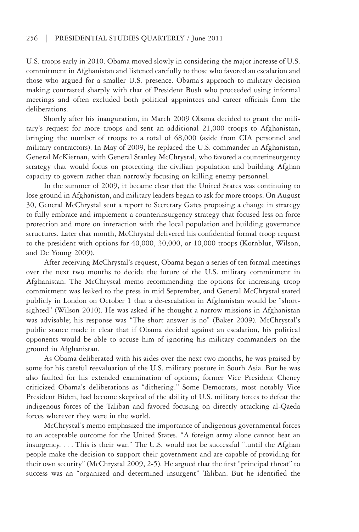U.S. troops early in 2010. Obama moved slowly in considering the major increase of U.S. commitment in Afghanistan and listened carefully to those who favored an escalation and those who argued for a smaller U.S. presence. Obama's approach to military decision making contrasted sharply with that of President Bush who proceeded using informal meetings and often excluded both political appointees and career officials from the deliberations.

Shortly after his inauguration, in March 2009 Obama decided to grant the military's request for more troops and sent an additional 21,000 troops to Afghanistan, bringing the number of troops to a total of 68,000 (aside from CIA personnel and military contractors). In May of 2009, he replaced the U.S. commander in Afghanistan, General McKiernan, with General Stanley McChrystal, who favored a counterinsurgency strategy that would focus on protecting the civilian population and building Afghan capacity to govern rather than narrowly focusing on killing enemy personnel.

In the summer of 2009, it became clear that the United States was continuing to lose ground in Afghanistan, and military leaders began to ask for more troops. On August 30, General McChrystal sent a report to Secretary Gates proposing a change in strategy to fully embrace and implement a counterinsurgency strategy that focused less on force protection and more on interaction with the local population and building governance structures. Later that month, McChrystal delivered his confidential formal troop request to the president with options for 40,000, 30,000, or 10,000 troops (Kornblut, Wilson, and De Young 2009).

After receiving McChrystal's request, Obama began a series of ten formal meetings over the next two months to decide the future of the U.S. military commitment in Afghanistan. The McChrystal memo recommending the options for increasing troop commitment was leaked to the press in mid September, and General McChrystal stated publicly in London on October 1 that a de-escalation in Afghanistan would be "shortsighted" (Wilson 2010). He was asked if he thought a narrow missions in Afghanistan was advisable; his response was "The short answer is no" (Baker 2009). McChrystal's public stance made it clear that if Obama decided against an escalation, his political opponents would be able to accuse him of ignoring his military commanders on the ground in Afghanistan.

As Obama deliberated with his aides over the next two months, he was praised by some for his careful reevaluation of the U.S. military posture in South Asia. But he was also faulted for his extended examination of options; former Vice President Cheney criticized Obama's deliberations as "dithering." Some Democrats, most notably Vice President Biden, had become skeptical of the ability of U.S. military forces to defeat the indigenous forces of the Taliban and favored focusing on directly attacking al-Qaeda forces wherever they were in the world.

McChrystal's memo emphasized the importance of indigenous governmental forces to an acceptable outcome for the United States. "A foreign army alone cannot beat an insurgency.... This is their war." The U.S. would not be successful ".until the Afghan people make the decision to support their government and are capable of providing for their own security" (McChrystal 2009, 2-5). He argued that the first "principal threat" to success was an "organized and determined insurgent" Taliban. But he identified the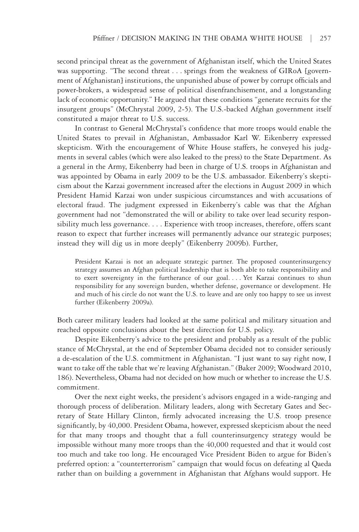second principal threat as the government of Afghanistan itself, which the United States was supporting. "The second threat... springs from the weakness of GIRoA [government of Afghanistan] institutions, the unpunished abuse of power by corrupt officials and power-brokers, a widespread sense of political disenfranchisement, and a longstanding lack of economic opportunity." He argued that these conditions "generate recruits for the insurgent groups" (McChrystal 2009, 2-5). The U.S.-backed Afghan government itself constituted a major threat to U.S. success.

In contrast to General McChrystal's confidence that more troops would enable the United States to prevail in Afghanistan, Ambassador Karl W. Eikenberry expressed skepticism. With the encouragement of White House staffers, he conveyed his judgments in several cables (which were also leaked to the press) to the State Department. As a general in the Army, Eikenberry had been in charge of U.S. troops in Afghanistan and was appointed by Obama in early 2009 to be the U.S. ambassador. Eikenberry's skepticism about the Karzai government increased after the elections in August 2009 in which President Hamid Karzai won under suspicious circumstances and with accusations of electoral fraud. The judgment expressed in Eikenberry's cable was that the Afghan government had not "demonstrated the will or ability to take over lead security responsibility much less governance.... Experience with troop increases, therefore, offers scant reason to expect that further increases will permanently advance our strategic purposes; instead they will dig us in more deeply" (Eikenberry 2009b). Further,

President Karzai is not an adequate strategic partner. The proposed counterinsurgency strategy assumes an Afghan political leadership that is both able to take responsibility and to exert sovereignty in the furtherance of our goal. . . . Yet Karzai continues to shun responsibility for any sovereign burden, whether defense, governance or development. He and much of his circle do not want the U.S. to leave and are only too happy to see us invest further (Eikenberry 2009a).

Both career military leaders had looked at the same political and military situation and reached opposite conclusions about the best direction for U.S. policy.

Despite Eikenberry's advice to the president and probably as a result of the public stance of McChrystal, at the end of September Obama decided not to consider seriously a de-escalation of the U.S. commitment in Afghanistan. "I just want to say right now, I want to take off the table that we're leaving Afghanistan." (Baker 2009; Woodward 2010, 186). Nevertheless, Obama had not decided on how much or whether to increase the U.S. commitment.

Over the next eight weeks, the president's advisors engaged in a wide-ranging and thorough process of deliberation. Military leaders, along with Secretary Gates and Secretary of State Hillary Clinton, firmly advocated increasing the U.S. troop presence significantly, by 40,000. President Obama, however, expressed skepticism about the need for that many troops and thought that a full counterinsurgency strategy would be impossible without many more troops than the 40,000 requested and that it would cost too much and take too long. He encouraged Vice President Biden to argue for Biden's preferred option: a "counterterrorism" campaign that would focus on defeating al Qaeda rather than on building a government in Afghanistan that Afghans would support. He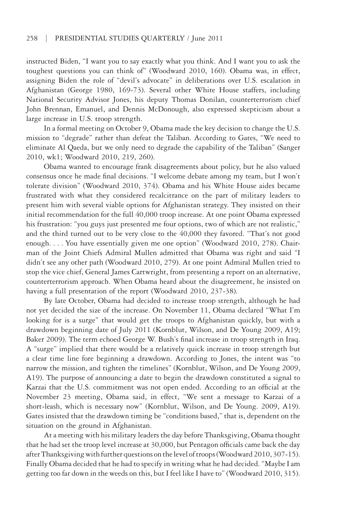instructed Biden, "I want you to say exactly what you think. And I want you to ask the toughest questions you can think of" (Woodward 2010, 160). Obama was, in effect, assigning Biden the role of "devil's advocate" in deliberations over U.S. escalation in Afghanistan (George 1980, 169-73). Several other White House staffers, including National Security Advisor Jones, his deputy Thomas Donilan, counterterrorism chief John Brennan, Emanuel, and Dennis McDonough, also expressed skepticism about a large increase in U.S. troop strength.

In a formal meeting on October 9, Obama made the key decision to change the U.S. mission to "degrade" rather than defeat the Taliban. According to Gates, "We need to eliminate Al Qaeda, but we only need to degrade the capability of the Taliban" (Sanger 2010, wk1; Woodward 2010, 219, 260).

Obama wanted to encourage frank disagreements about policy, but he also valued consensus once he made final decisions. "I welcome debate among my team, but I won't tolerate division" (Woodward 2010, 374). Obama and his White House aides became frustrated with what they considered recalcitrance on the part of military leaders to present him with several viable options for Afghanistan strategy. They insisted on their initial recommendation for the full 40,000 troop increase. At one point Obama expressed his frustration: "you guys just presented me four options, two of which are not realistic," and the third turned out to be very close to the 40,000 they favored. "That's not good enough. . . . You have essentially given me one option" (Woodward 2010, 278). Chairman of the Joint Chiefs Admiral Mullen admitted that Obama was right and said "I didn't see any other path (Woodward 2010, 279). At one point Admiral Mullen tried to stop the vice chief, General James Cartwright, from presenting a report on an alternative, counterterrorism approach. When Obama heard about the disagreement, he insisted on having a full presentation of the report (Woodward 2010, 237-38).

By late October, Obama had decided to increase troop strength, although he had not yet decided the size of the increase. On November 11, Obama declared "What I'm looking for is a surge" that would get the troops to Afghanistan quickly, but with a drawdown beginning date of July 2011 (Kornblut, Wilson, and De Young 2009, A19; Baker 2009). The term echoed George W. Bush's final increase in troop strength in Iraq. A "surge" implied that there would be a relatively quick increase in troop strength but a clear time line fore beginning a drawdown. According to Jones, the intent was "to narrow the mission, and tighten the timelines" (Kornblut, Wilson, and De Young 2009, A19). The purpose of announcing a date to begin the drawdown constituted a signal to Karzai that the U.S. commitment was not open ended. According to an official at the November 23 meeting, Obama said, in effect, "We sent a message to Karzai of a short-leash, which is necessary now" (Kornblut, Wilson, and De Young. 2009, A19). Gates insisted that the drawdown timing be "conditions based," that is, dependent on the situation on the ground in Afghanistan.

At a meeting with his military leaders the day before Thanksgiving, Obama thought that he had set the troop level increase at 30,000, but Pentagon officials came back the day after Thanksgiving with further questions on the level of troops (Woodward 2010, 307-15). Finally Obama decided that he had to specify in writing what he had decided. "Maybe I am getting too far down in the weeds on this, but I feel like I have to" (Woodward 2010, 315).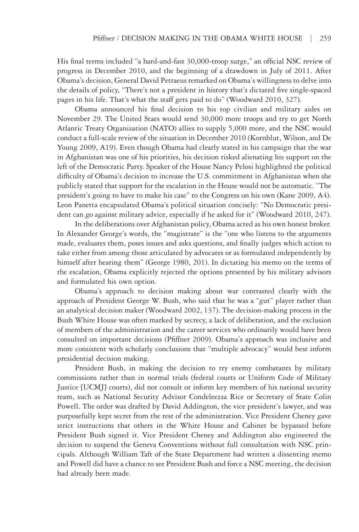His final terms included "a hard-and-fast 30,000-troop surge," an official NSC review of progress in December 2010, and the beginning of a drawdown in July of 2011. After Obama's decision, General David Petraeus remarked on Obama's willingness to delve into the details of policy, "There's not a president in history that's dictated five single-spaced pages in his life. That's what the staff gets paid to do" (Woodward 2010, 327).

Obama announced his final decision to his top civilian and military aides on November 29. The United Staes would send 30,000 more troops and try to get North Atlantic Treaty Organization (NATO) allies to supply 5,000 more, and the NSC would conduct a full-scale review of the situation in December 2010 (Kornblut, Wilson, and De Young 2009, A19). Even though Obama had clearly stated in his campaign that the war in Afghanistan was one of his priorities, his decision risked alienating his support on the left of the Democratic Party. Speaker of the House Nancy Pelosi highlighted the political difficulty of Obama's decision to increase the U.S. commitment in Afghanistan when she publicly stated that support for the escalation in the House would not be automatic. "The president's going to have to make his case" to the Congress on his own (Kane 2009, A4). Leon Panetta encapsulated Obama's political situation concisely: "No Democratic president can go against military advice, especially if he asked for it" (Woodward 2010, 247).

In the deliberations over Afghanistan policy, Obama acted as his own honest broker. In Alexander George's words, the "magistrate" is the "one who listens to the arguments made, evaluates them, poses issues and asks questions, and finally judges which action to take either from among those articulated by advocates or as formulated independently by himself after hearing them" (George 1980, 201). In dictating his memo on the terms of the escalation, Obama explicitly rejected the options presented by his military advisors and formulated his own option.

Obama's approach to decision making about war contrasted clearly with the approach of President George W. Bush, who said that he was a "gut" player rather than an analytical decision maker (Woodward 2002, 137). The decision-making process in the Bush White House was often marked by secrecy, a lack of deliberation, and the exclusion of members of the administration and the career services who ordinarily would have been consulted on important decisions (Pfiffner 2009). Obama's approach was inclusive and more consistent with scholarly conclusions that "multiple advocacy" would best inform presidential decision making.

President Bush, in making the decision to try enemy combatants by military commissions rather than in normal trials (federal courts or Uniform Code of Military Justice [UCMJ] courts), did not consult or inform key members of his national security team, such as National Security Advisor Condeleezza Rice or Secretary of State Colin Powell. The order was drafted by David Addington, the vice president's lawyer, and was purposefully kept secret from the rest of the administration. Vice President Cheney gave strict instructions that others in the White House and Cabinet be bypassed before President Bush signed it. Vice President Cheney and Addington also engineered the decision to suspend the Geneva Conventions without full consultation with NSC principals. Although William Taft of the State Department had written a dissenting memo and Powell did have a chance to see President Bush and force a NSC meeting, the decision had already been made.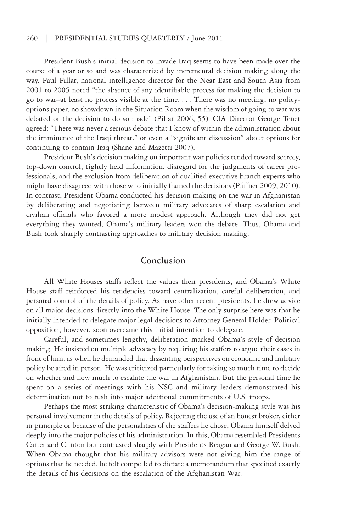#### 260 | PRESIDENTIAL STUDIES QUARTERLY / June 2011

President Bush's initial decision to invade Iraq seems to have been made over the course of a year or so and was characterized by incremental decision making along the way. Paul Pillar, national intelligence director for the Near East and South Asia from 2001 to 2005 noted "the absence of any identifiable process for making the decision to go to war–at least no process visible at the time.... There was no meeting, no policyoptions paper, no showdown in the Situation Room when the wisdom of going to war was debated or the decision to do so made" (Pillar 2006, 55). CIA Director George Tenet agreed: "There was never a serious debate that I know of within the administration about the imminence of the Iraqi threat." or even a "significant discussion" about options for continuing to contain Iraq (Shane and Mazetti 2007).

President Bush's decision making on important war policies tended toward secrecy, top-down control, tightly held information, disregard for the judgments of career professionals, and the exclusion from deliberation of qualified executive branch experts who might have disagreed with those who initially framed the decisions (Pfiffner 2009; 2010). In contrast, President Obama conducted his decision making on the war in Afghanistan by deliberating and negotiating between military advocates of sharp escalation and civilian officials who favored a more modest approach. Although they did not get everything they wanted, Obama's military leaders won the debate. Thus, Obama and Bush took sharply contrasting approaches to military decision making.

## **Conclusion**

All White Houses staffs reflect the values their presidents, and Obama's White House staff reinforced his tendencies toward centralization, careful deliberation, and personal control of the details of policy. As have other recent presidents, he drew advice on all major decisions directly into the White House. The only surprise here was that he initially intended to delegate major legal decisions to Attorney General Holder. Political opposition, however, soon overcame this initial intention to delegate.

Careful, and sometimes lengthy, deliberation marked Obama's style of decision making. He insisted on multiple advocacy by requiring his staffers to argue their cases in front of him, as when he demanded that dissenting perspectives on economic and military policy be aired in person. He was criticized particularly for taking so much time to decide on whether and how much to escalate the war in Afghanistan. But the personal time he spent on a series of meetings with his NSC and military leaders demonstrated his determination not to rush into major additional commitments of U.S. troops.

Perhaps the most striking characteristic of Obama's decision-making style was his personal involvement in the details of policy. Rejecting the use of an honest broker, either in principle or because of the personalities of the staffers he chose, Obama himself delved deeply into the major policies of his administration. In this, Obama resembled Presidents Carter and Clinton but contrasted sharply with Presidents Reagan and George W. Bush. When Obama thought that his military advisors were not giving him the range of options that he needed, he felt compelled to dictate a memorandum that specified exactly the details of his decisions on the escalation of the Afghanistan War.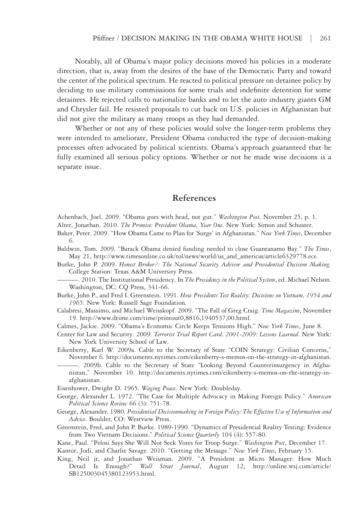Notably, all of Obama's major policy decisions moved his policies in a moderate direction, that is, away from the desires of the base of the Democratic Party and toward the center of the political spectrum. He reacted to political pressure on detainee policy by deciding to use military commissions for some trials and indefinite detention for some detainees. He rejected calls to nationalize banks and to let the auto industry giants GM and Chrysler fail. He resisted proposals to cut back on U.S. policies in Afghanistan but did not give the military as many troops as they had demanded.

Whether or not any of these policies would solve the longer-term problems they were intended to ameliorate, President Obama conducted the type of decision-making processes often advocated by political scientists. Obama's approach guaranteed that he fully examined all serious policy options. Whether or not he made wise decisions is a separate issue.

## **References**

Achenbach, Joel. 2009. "Obama goes with head, not gut." *Washington Post.* November 25, p. 1.

Alter, Jonathan. 2010. *The Promise: President Obama, Year One*. New York: Simon and Schuster.

Baker, Peter. 2009. "How Obama Came to Plan for 'Surge' in Afghanistan." *New York Times*, December 6.

- Baldwin, Tom. 2009. "Barack Obama denied funding needed to close Guantanamo Bay." *The Times*, May 21, http://www.timesonline.co.uk/tol/news/world/us\_and\_americas/article6329778.ece.
- Burke, John P. 2009. *Honest Broker?: The National Security Advisor and Presidential Decision Making*. College Station: Texas A&M University Press.

———. 2010. The Institutional Presidency. In *The Presidency in the Political System*, ed. Michael Nelson. Washington, DC: CQ Press, 341-66.

- Burke, John P., and Fred I. Greenstein. 1991. *How Presidents Test Reality: Decisions on Vietnam, 1954 and 1965*. New York: Russell Sage Foundation.
- Calabresi, Massimo, and Michael Weisskopf. 2009. "The Fall of Greg Craig. *Time Magazine*, November 19. http://www.dtime.com/time/printout0,8816,1940537,00.html.
- Calmes, Jackie. 2009. "Obama's Economic Circle Keeps Tensions High." *New York Times*, June 8.
- Center for Law and Security. 2009. *Terrorist Trial Report Card, 2001-2009: Lessons Learned*. New York: New York University School of Law.

Eikenberry, Karl W. 2009a. Cable to the Secretary of State "COIN Strategy: Civilian Concerns," November 6. http://documents.nytimes.com/eikenberry-s-memos-on-the-strategy-in-afghanistan.

———. 2009b. Cable to the Secretary of State "Looking Beyond Counterinsurgency in Afghanistan," November 10. http://documents.nytimes.com/eikenberry-s-memos-on-the-strategy-inafghanistan.

Eisenhower, Dwight D. 1965. *Waging Peace*. New York: Doubleday.

George, Alexander L. 1972. "The Case for Multiple Advocacy in Making Foreign Policy." *American Political Science Review* 66 (3): 751-78.

George, Alexander. 1980. *Presidential Decisionmaking in Foreign Policy: The Effective Use of Information and Advice*. Boulder, CO: Westview Press.

Greenstein, Fred, and John P. Burke. 1989-1990. "Dynamics of Presidential Reality Testing: Evidence from Two Vietnam Decisions." *Political Science Quarterly* 104 (4): 557-80.

Kane, Paul. "Pelosi Says She Will Not Seek Votes for Troop Surge." *Washington Post*, December 17.

Kantor, Jodi, and Charlie Savage. 2010. "Getting the Message." *New York Times*, February 15.

King, Neil jr, and Jonathan Weisman. 2009. "A President as Micro Manager: How Much<br>Detail Is Enough?" Wall Street Journal, August 12, http://online.wsj.com/article/ Wall Street Journal, August 12, http://online.wsj.com/article/ SB125003045380123953.html.